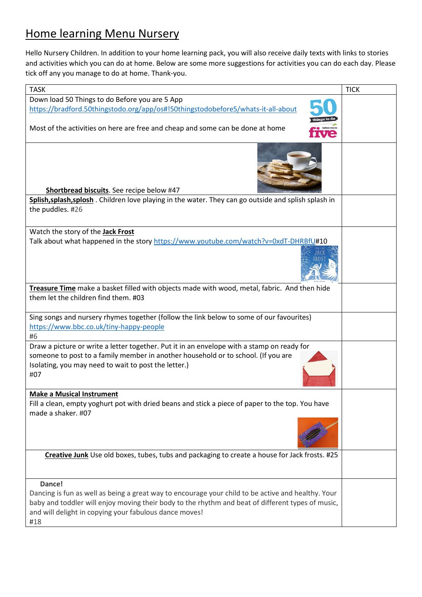#### Home learning Menu Nursery

Hello Nursery Children. In addition to your home learning pack, you will also receive daily texts with links to stories and activities which you can do at home. Below are some more suggestions for activities you can do each day. Please tick off any you manage to do at home. Thank-you.

| <b>TASK</b>                                                                                                                                                                                                                                                                        | <b>TICK</b> |
|------------------------------------------------------------------------------------------------------------------------------------------------------------------------------------------------------------------------------------------------------------------------------------|-------------|
| Down load 50 Things to do Before you are 5 App                                                                                                                                                                                                                                     |             |
| https://bradford.50thingstodo.org/app/os#!50thingstodobefore5/whats-it-all-about                                                                                                                                                                                                   |             |
| Most of the activities on here are free and cheap and some can be done at home                                                                                                                                                                                                     |             |
| Shortbread biscuits. See recipe below #47                                                                                                                                                                                                                                          |             |
| Splish, splash, splosh . Children love playing in the water. They can go outside and splish splash in                                                                                                                                                                              |             |
| the puddles. #26                                                                                                                                                                                                                                                                   |             |
|                                                                                                                                                                                                                                                                                    |             |
| Watch the story of the <b>Jack Frost</b><br>Talk about what happened in the story https://www.youtube.com/watch?v=0xdT-DHRBfU#10                                                                                                                                                   |             |
|                                                                                                                                                                                                                                                                                    |             |
| Treasure Time make a basket filled with objects made with wood, metal, fabric. And then hide                                                                                                                                                                                       |             |
| them let the children find them. #03                                                                                                                                                                                                                                               |             |
| Sing songs and nursery rhymes together (follow the link below to some of our favourites)<br>https://www.bbc.co.uk/tiny-happy-people<br>#6                                                                                                                                          |             |
| Draw a picture or write a letter together. Put it in an envelope with a stamp on ready for<br>someone to post to a family member in another household or to school. (If you are<br>Isolating, you may need to wait to post the letter.)<br>#07                                     |             |
| <b>Make a Musical Instrument</b>                                                                                                                                                                                                                                                   |             |
| Fill a clean, empty yoghurt pot with dried beans and stick a piece of paper to the top. You have<br>made a shaker. #07                                                                                                                                                             |             |
|                                                                                                                                                                                                                                                                                    |             |
| Creative Junk Use old boxes, tubes, tubs and packaging to create a house for Jack frosts. #25                                                                                                                                                                                      |             |
| Dance!<br>Dancing is fun as well as being a great way to encourage your child to be active and healthy. Your<br>baby and toddler will enjoy moving their body to the rhythm and beat of different types of music,<br>and will delight in copying your fabulous dance moves!<br>#18 |             |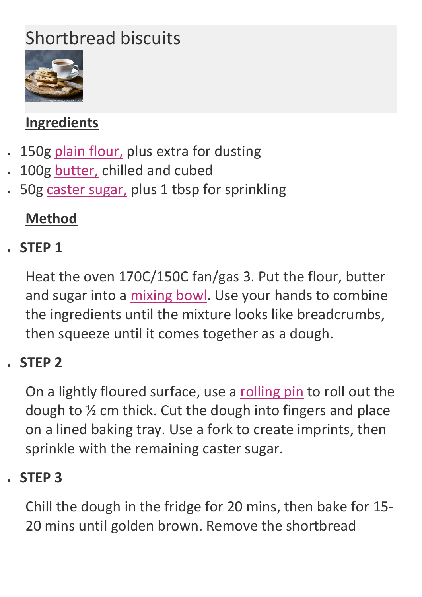# Shortbread biscuits



## **Ingredients**

- 150g [plain flour,](https://www.bbcgoodfood.com/glossary/flour-glossary) plus extra for dusting
- 100g [butter,](https://www.bbcgoodfood.com/glossary/butter-glossary) chilled and cubed
- 50g [caster sugar,](https://www.bbcgoodfood.com/glossary/sugar-glossary) plus 1 tbsp for sprinkling

### **Method**

### • **STEP 1**

Heat the oven 170C/150C fan/gas 3. Put the flour, butter and sugar into a [mixing bowl.](https://www.bbcgoodfood.com/content/top-five-mixing-bowls) Use your hands to combine the ingredients until the mixture looks like breadcrumbs, then squeeze until it comes together as a dough.

#### • **STEP 2**

On a lightly floured surface, use a [rolling pin](https://www.bbcgoodfood.com/content/test-best-rolling-pins) to roll out the dough to ½ cm thick. Cut the dough into fingers and place on a lined baking tray. Use a fork to create imprints, then sprinkle with the remaining caster sugar.

#### • **STEP 3**

Chill the dough in the fridge for 20 mins, then bake for 15- 20 mins until golden brown. Remove the shortbread